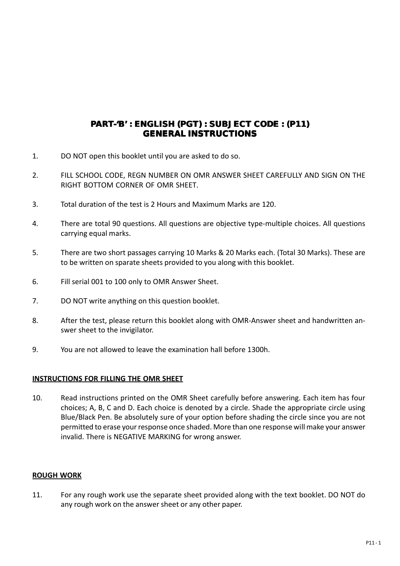# **WRITTEN WRITTEN TEST PAPER FOR APER FOR TEACHERS SELECTION: CHERS SELECTION: 09 DEC 2012** PART-'B' : ENGLISH (PGT) : SUBJECT CODE : (P11) **GENERAL INSTRUCTIONS**

- 1. DO NOT open this booklet until you are asked to do so.
- 2. FILL SCHOOL CODE, REGN NUMBER ON OMR ANSWER SHEET CAREFULLY AND SIGN ON THE RIGHT BOTTOM CORNER OF OMR SHEET.
- 3. Total duration of the test is 2 Hours and Maximum Marks are 120.
- 4. There are total 90 questions. All questions are objective type-multiple choices. All questions carrying equal marks.
- 5. There are two short passages carrying 10 Marks & 20 Marks each. (Total 30 Marks). These are to be written on sparate sheets provided to you along with this booklet.
- 6. Fill serial 001 to 100 only to OMR Answer Sheet.
- 7. DO NOT write anything on this question booklet.
- 8. After the test, please return this booklet along with OMR-Answer sheet and handwritten answer sheet to the invigilator.
- 9. You are not allowed to leave the examination hall before 1300h.

## **INSTRUCTIONS FOR FILLING THE OMR SHEET**

10. Read instructions printed on the OMR Sheet carefully before answering. Each item has four choices; A, B, C and D. Each choice is denoted by a circle. Shade the appropriate circle using Blue/Black Pen. Be absolutely sure of your option before shading the circle since you are not permitted to erase your response once shaded. More than one response will make your answer invalid. There is NEGATIVE MARKING for wrong answer.

# **ROUGH WORK**

11. For any rough work use the separate sheet provided along with the text booklet. DO NOT do any rough work on the answer sheet or any other paper.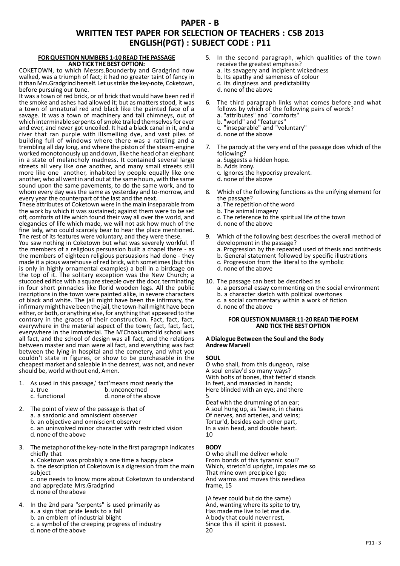# **PAPER - B WRITTEN TEST PAPER FOR SELECTION OF TEACHERS : CSB 2013 ENGLISH(PGT) : SUBJECT CODE : P11**

#### **FOR QUESTION NUMBERS 1-10 READ THE PASSAGE AND TICK THE BEST OPTION:**

COKETOWN, to which Messrs.Bounderby and Gradgrind now walked, was a triumph of fact; it had no greater taint of fancy in it than Mrs.Gradgrind herself. Let us strike the key-note, Coketown, before pursuing our tune.

It was a town of red brick, or of brick that would have been red if the smoke and ashes had allowed it; but as matters stood, it was a town of unnatural red and black like the painted face of a savage. It was a town of machinery and tall chimneys, out of which interminable serpents of smoke trailed themselves for ever and ever, and never got uncoiled. It had a black canal in it, and a river that ran purple with illsmelling dye, and vast piles of building full of windows where there was a rattling and a trembling all day long, and where the piston of the steam-engine worked monotonously up and down, like the head of an elephant in a state of melancholy madness. It contained several large streets all very like one another, and many small streets still more like one another, inhabited by people equally like one another, who all went in and out at the same hours, with the same sound upon the same pavements, to do the same work, and to whom every day was the same as yesterday and to-morrow, and every year the counterpart of the last and the next.

These attributes of Coketown were in the main inseparable from the work by which it was sustained; against them were to be set off, comforts of life which found their way all over the world, and elegancies of life which made, we will not ask how much of the fine lady, who could scarcely bear to hear the place mentioned. The rest of its features were voluntary, and they were these.

You saw nothing in Coketown but what was severely workful. If the members of a religious persuasion built a chapel there - as the members of eighteen religious persuasions had done - they made it a pious warehouse of red brick, with sometimes (but this is only in highly ornamental examples) a bell in a birdcage on the top of it. The solitary exception was the New Church; a stuccoed edifice with a square steeple over the door, terminating in four short pinnacles like florid wooden legs. All the public inscriptions in the town were painted alike, in severe characters of black and white. The jail might have been the infirmary, the infirmary might have been the jail, the town-hall might have been either, or both, or anything else, for anything that appeared to the contrary in the graces of their construction. Fact, fact, fact, everywhere in the material aspect of the town; fact, fact, fact, everywhere in the immaterial. The M'Choakumchild school was all fact, and the school of design was all fact, and the relations between master and man were all fact, and everything was fact between the lying-in hospital and the cemetery, and what you couldn't state in figures, or show to be purchasable in the cheapest market and saleable in the dearest, was not, and never should be, world without end, Amen.

- 1. As used in this passage,' fact'means most nearly the a. true b. unconcerned a. true b. unconcerned<br>c. functional c. functional d. none of the all d. none of the above
- 2. The point of view of the passage is that of a. a sardonic and omniscient observer b. an objective and omniscient observer
	- c. an uninvolved minor character with restricted vision
	- d. none of the above
- 3. The metaphor of the key-note in the first paragraph indicates chiefly that
	- a. Coketown was probably a one time a happy place b. the description of Coketown is a digression from the main
	- subject c. one needs to know more about Coketown to understand

and appreciate Mrs.Gradgrind d. none of the above

- 4. In the 2nd para "serpents" is used primarily as a. a sign that pride leads to a fall
	- b. an emblem of industrial blight
	- c. a symbol of the creeping progress of industry
	- d. none of the above
- 5. In the second paragraph, which qualities of the town receive the greatest emphasis?
	- a. Its savagery and incipient wickedness
	- b. Its apathy and sameness of colour
	- c. Its dinginess and predictability
	- d. none of the above
- 6. The third paragraph links what comes before and what follows by which of the following pairs of words? a. "attributes" and "comforts"
	-
	- b. "world" and "features" c. "inseparable" and "voluntary"
	- d. none of the above
	-
- 7. The parody at the very end of the passage does which of the following?
	- a. Suggests a hidden hope.
	- b. Adds irony.
	- c. Ignores the hypocrisy prevalent.
	- d. none of the above
- 8. Which of the following functions as the unifying element for the passage?
	- a. The repetition of the word
	- b. The animal imagery
	- c. The reference to the spiritual life of the town
	- d. none of the above
- 9. Which of the following best describes the overall method of development in the passage?
	- a. Progression by the repeated used of thesis and antithesis
	- b. General statement followed by specific illustrations
	- c. Progression from the literal to the symbolic
	- d. none of the above
- 10. The passage can best be described as
	- a. a personal essay commenting on the social environment
	- b. a character sketch with political overtones
	- c. a social commentary within a work of fiction
	- d. none of the above

### **FOR QUESTION NUMBER 11-20 READ THE POEM AND TICK THE BEST OPTION**

#### **A Dialogue Between the Soul and the Body Andrew Marvell**

### **SOUL**

O who shall, from this dungeon, raise A soul enslav'd so many ways? With bolts of bones, that fetter'd stands In feet, and manacled in hands; Here blinded with an eye, and there 5

Deaf with the drumming of an ear; A soul hung up, as 'twere, in chains Of nerves, and arteries, and veins; Tortur'd, besides each other part, In a vain head, and double heart. 10

## **BODY**

O who shall me deliver whole From bonds of this tyrannic soul? Which, stretch'd upright, impales me so That mine own precipice I go; And warms and moves this needless frame, 15

(A fever could but do the same) And, wanting where its spite to try, Has made me live to let me die. A body that could never rest, Since this ill spirit it possest. 20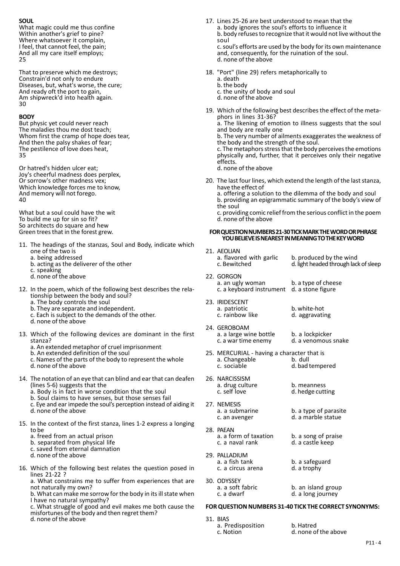## **SOUL**

What magic could me thus confine Within another's grief to pine? Where whatsoever it complain, I feel, that cannot feel, the pain; And all my care itself employs; 25

That to preserve which me destroys; Constrain'd not only to endure Diseases, but, what's worse, the cure; And ready oft the port to gain, Am shipwreck'd into health again. 30

### **BODY**

But physic yet could never reach The maladies thou me dost teach; Whom first the cramp of hope does tear, And then the palsy shakes of fear; The pestilence of love does heat, 35

Or hatred's hidden ulcer eat; Joy's cheerful madness does perplex, Or sorrow's other madness vex; Which knowledge forces me to know, And memory will not forego. 40

What but a soul could have the wit To build me up for sin so fit? So architects do square and hew Green trees that in the forest grew.

- 11. The headings of the stanzas, Soul and Body, indicate which one of the two is
	- a. being addressed
	- b. acting as the deliverer of the other
	- c. speaking
	- d. none of the above
- 12. In the poem, which of the following best describes the relationship between the body and soul?
	- a. The body controls the soul
	- b. They are separate and independent.
	- c. Each is subject to the demands of the other.
	- d. none of the above
- 13. Which of the following devices are dominant in the first stanza?
	- a. An extended metaphor of cruel imprisonment
	- b. An extended definition of the soul
	- c. Names of the parts of the body to represent the whole
	- d. none of the above
- 14. The notation of an eye that can blind and ear that can deafen (lines 5-6) suggests that the
	- a. Body is in fact in worse condition that the soul
	- b. Soul claims to have senses, but those senses fail
	- c. Eye and ear impede the soul's perception instead of aiding it d. none of the above
	-
- 15. In the context of the first stanza, lines 1-2 express a longing to be
	- a. freed from an actual prison
	- b. separated from physical life
	- c. saved from eternal damnation
	- d. none of the above
- 16. Which of the following best relates the question posed in lines 21-22 ?

a. What constrains me to suffer from experiences that are not naturally my own?

b. What can make me sorrow for the body in its ill state when I have no natural sympathy?

c. What struggle of good and evil makes me both cause the misfortunes of the body and then regret them?

d. none of the above

- 17. Lines 25-26 are best understood to mean that the a. body ignores the soul's efforts to influence it b. body refuses to recognize that it would not live without the soul c. soul's efforts are used by the body for its own maintenance and, consequently, for the ruination of the soul.
- 18. "Port" (line 29) refers metaphorically to
	- a. death
	- b. the body c. the unity of body and soul
	- d. none of the above

d. none of the above

19. Which of the following best describes the effect of the metaphors in lines 31-36?

a. The likening of emotion to illness suggests that the soul and body are really one

b. The very number of ailments exaggerates the weakness of the body and the strength of the soul.

c. The metaphors stress that the body perceives the emotions physically and, further, that it perceives only their negative effects.

d. none of the above

20. The last four lines, which extend the length of the last stanza, have the effect of

a. offering a solution to the dilemma of the body and soul b. providing an epigrammatic summary of the body's view of the soul

c. providing comic relief from the serious conflict in the poem d. none of the above

#### **FOR QUESTION NUMBERS 21-30 TICK MARK THE WORD OR PHRASE YOU BELIEVE IS NEAREST IN MEANING TO THE KEY WORD**

21. AEOLIAN

|     | a. flavored with garlic<br>c. Bewitched                                      | b. produced by the wind<br>d. light headed through lack of sleep |
|-----|------------------------------------------------------------------------------|------------------------------------------------------------------|
|     | 22. GORGON<br>a. an ugly woman<br>c. a keyboard instrument d. a stone figure | b. a type of cheese                                              |
|     | 23. IRIDESCENT<br>a. patriotic<br>c. rainbow like                            | b. white-hot<br>d. aggravating                                   |
| 2Δ. | GEROROAM                                                                     |                                                                  |

- 24 a. a large wine bottle b. a lockpicker<br>c. a war time enemy d. a venomous d. a venomous snake
- 25. MERCURIAL having a character that is<br>a. Changeable b. dull a. Changeable<br>c. sociable d. bad tempered
- 26. NARCISSISM a. drug culture b. meanness<br>c. self love d. hedge cutt d. hedge cutting
- 27. NEMESIS<br>a. a submarine a. a submarine b. a type of parasite<br>c. an avenger d. a marble statue d. a marble statue
- 28. PAEAN<br>a. a form of taxation a. a form of taxation b. a song of praise<br>c. a naval rank d. a castle keep d. a castle keep
- 29. PALLADIUM<br>a. a fish tank b. a safeguard<br>d. a trophy c. a circus arena

3

30. ODYSSEY<br>a. a soft fabric a. a soft fabric b. an island group<br>c. a dwarf d. a long journey d. a long journey

### **FOR QUESTION NUMBERS 31-40 TICK THE CORRECT SYNONYMS:**

| 1. BIAS           |                      |
|-------------------|----------------------|
| a. Predisposition | b. Hatred            |
| c. Notion         | d. none of the above |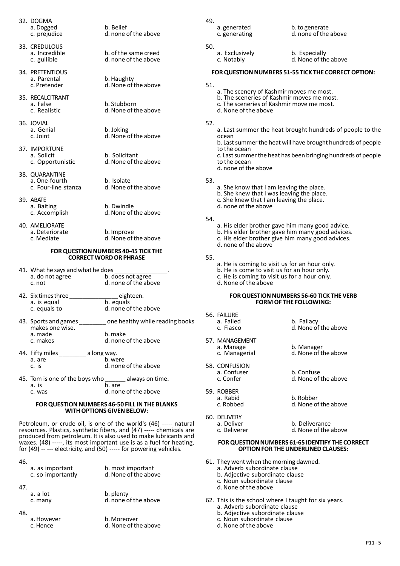| a. Dogged    |           |
|--------------|-----------|
| c. prejudice |           |
|              | 32. DOGMA |

- 33. CREDULOUS<br>a. Incredible a. Incredible b. of the same creed<br>c. gullible d. none of the above
- 34. PRETENTIOUS<br>a. Parental a. Parental b. Haughty<br>
c. Pretender d. None of t
- 35. RECALCITRANT<br>a. False a. False b. Stubborn<br>
c. Realistic d. None of the
- 36. JOVIAL<br>a. Genial a. Genial b. Joking<br>
c. Joint d. None of
- 37. IMPORTUNE a. Solicit b. Solicitant<br>
c. Opportunistic d. None of the
- 38. QUARANTINE a. One-fourth b. Isolate<br>c. Four-line stanza d. None of
- 39. ABATE a. Baiting b. Dwindle<br>
c. Accomplish d. None of
- 40. AMELIORATE a. Deteriorate b. Improve<br>c. Mediate d. None of d. None of the above

#### **FOR QUESTION NUMBERS 40-45 TICK THE CORRECT WORD OR PHRASE**

h. Belief

d. none of the above

d. none of the above

d. None of the above

d. None of the above

d. None of the above

d. None of the above

d. None of the above

d. None of the above

- 41. What he says and what he does<br>a. do not agree b.c a. do not agree b. does not agree<br>
c. not d. none of the abc d. none of the above
- 42. Six times three  $\frac{\text{eighteen}}{\text{a. is equal}}$ a. is equal<br>c. equals to d. none of the above
- 43. Sports and games **one healthy while reading books** makes one wise. a. made b. make<br>c. makes d. none d. none of the above
- 44. Fifty miles \_\_\_\_\_\_\_\_ a long way.<br>a. are b. we a. are b. were<br>
c. is b. d. none d. none of the above
- 45. Tom is one of the boys who  $\frac{1}{b \cdot 2}$  always on time. a. is  $\overline{b}$ . are  $\overline{c}$  was  $\overline{d}$ , non d. none of the above

#### **FOR QUESTION NUMBERS 46-50 FILL IN THE BLANKS WITH OPTIONS GIVEN BELOW:**

Petroleum, or crude oil, is one of the world's (46) ----- natural resources. Plastics, synthetic fibers, and (47) ----- chemicals are produced from petroleum. It is also used to make lubricants and waxes. (48) -----, its most important use is as a fuel for heating, for (49) -- --- electricity, and (50) ----- for powering vehicles.

46.

|     | a. as important<br>c. so importantly | b. most important<br>d. None of the above |
|-----|--------------------------------------|-------------------------------------------|
| 47. |                                      |                                           |
|     | a. a lot<br>c. many                  | b. plenty<br>d. none of the above         |
| 48. |                                      |                                           |
|     | a. However<br>c. Hence               | b. Moreover<br>d. None of the above       |

- 49.
	- 50.
- a. generated b. to generate<br>
c. generating d. none of the d. none of the above
	-
	- a. Exclusively **b. Especially c. Notably** b. **Especially** d. None of the above
		-

## **FOR QUESTION NUMBERS 51-55 TICK THE CORRECT OPTION:**

- 51.
- a. The scenery of Kashmir moves me most.
- b. The sceneries of Kashmir moves me most.
- c. The sceneries of Kashmir move me most.
- d. None of the above

## 52.

a. Last summer the heat brought hundreds of people to the ocean b. Last summer the heat will have brought hundreds of people to the ocean c. Last summer the heat has been bringing hundreds of people to the ocean

d. none of the above

53.

- a. She know that I am leaving the place.
- b. She knew that I was leaving the place.
- c. She knew that I am leaving the place.
- d. none of the above

#### 54.

- a. His elder brother gave him many good advice. b. His elder brother gave him many good advices. c. His elder brother give him many good advices. d. none of the above
- 55.
	- a. He is coming to visit us for an hour only.
	- b. He is come to visit us for an hour only.
	- c. He is coming to visit us for a hour only.
	- d. None of the above

#### **FOR QUESTION NUMBERS 56-60 TICK THE VERB FORM OF THE FOLLOWING:**

| 56. FAILURE<br>a. Failed<br>c. Fiasco        | b. Fallacy<br>d. None of the above |
|----------------------------------------------|------------------------------------|
| 57. MANAGEMENT<br>a. Manage<br>c. Managerial | b. Manager<br>d. None of the above |
| 58. CONFUSION<br>a. Confuser<br>c. Confer    | b. Confuse<br>d. None of the above |
| 59. ROBBER<br>a. Rabid<br>c. Robbed          | b. Robber<br>d. None of the above  |

- 60. DELIVERY<br>a. Deliver a. Deliver b. Deliverance<br>
c. Deliverer d. None of the a
	- d. None of the above

#### **FOR QUESTION NUMBERS 61-65 IDENTIFY THE CORRECT OPTION FOR THE UNDERLINED CLAUSES:**

- 61. They went when the morning dawned.
	- a. Adverb subordinate clause
	- b. Adjective subordinate clause c. Noun subordinate clause
	- d. None of the above
- 62. This is the school where I taught for six years.
	- a. Adverb subordinate clause
	- b. Adjective subordinate clause
	- c. Noun subordinate clause
	- d. None of the above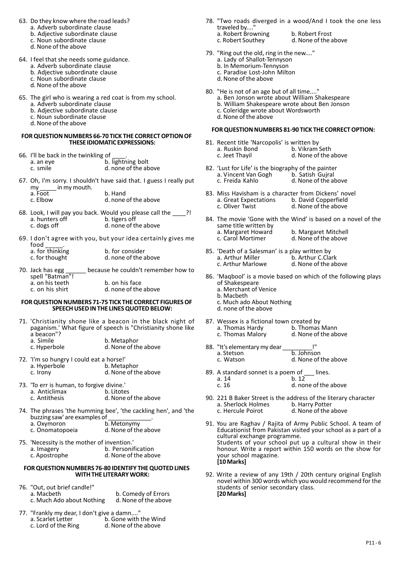- 63. Do they know where the road leads?
	- a. Adverb subordinate clause
	- b. Adjective subordinate clause
	- c. Noun subordinate clause
	- d. None of the above
- 64. I feel that she needs some guidance.
	- a. Adverb subordinate clause
	- b. Adjective subordinate clause
	- c. Noun subordinate clause
	- d. None of the above
- 65. The girl who is wearing a red coat is from my school.
	- a. Adverb subordinate clause
	- b. Adjective subordinate clause
	- c. Noun subordinate clause
	- d. None of the above

## **FOR QUESTION NUMBERS 66-70 TICK THE CORRECT OPTION OF THESE IDIOMATIC EXPRESSIONS:**

| 66. I'll be back in the twinkling of |                      |
|--------------------------------------|----------------------|
| a. an eye                            | b. lightning bolt    |
| c. smile                             | d. none of the above |

67. Oh, I'm sorry. I shouldn't have said that. I guess I really put my \_\_\_\_\_ in my mouth.

| a. Foot  | b. Hand              |
|----------|----------------------|
| c. Elbow | d. none of the above |

- 68. Look, I will pay you back. Would you please call the  $\frac{1}{\sqrt{2}}$ ? a. hunters off<br>c. dogs off d. none of the above
- 69. I don't agree with you, but your idea certainly gives me  $food$  \_\_\_\_\_\_.

70. Jack has egg \_\_\_\_\_\_ because he couldn't remember how to spell "Batman"! a. on his teeth b. on his face<br>c. on his shirt d. none of the

c. on his shirt d. none of the above

## **FOR QUESTION NUMBERS 71-75 TICK THE CORRECT FIGURES OF SPEECH USED IN THE LINES QUOTED BELOW:**

- 71. 'Christianity shone like a beacon in the black night of paganism.' What figure of speech is "Christianity shone like a beacon"?<br>a. Simile
	- a. Simile b. Metaphor<br>
	c. Hyperbole d. None of th d. None of the above
- 72. 'I'm so hungry I could eat a horse!' a. Hyperbole c. Irony d. None of the above
- 73. 'To err is human, to forgive divine.' a. Anticlimax<br>c. Antithesis d. None of the above
- 74. The phrases 'the humming bee', 'the cackling hen', and 'the buzzing saw' are examples of<br>a. Oxymoron a. Oxymoron b. Metonymy<br>c. Onomatopoeia d. None of the d. None of the above
- 75. 'Necessity is the mother of invention.'
	- a. Imagery **b. Personification**<br>
	c. Apostrophe **b. Accomple** d. None of the abo d. None of the above

## **FOR QUESTION NUMBERS 76-80 IDENTIFY THE QUOTED LINES WITH THE LITERARY WORK:**

- 76. "Out, out brief candle!" b. Comedy of Errors<br>d. None of the above c. Much Ado about Nothing
- 77. "Frankly my dear, I don't give a damn...." b. Gone with the Wind<br>d. None of the above c. Lord of the Ring
- 78. "Two roads diverged in a wood/And I took the one less traveled by....' a. Robert Browning b. Robert Frost<br>c. Robert Southey d. None of the a
	-

d. None of the above

- 79. "Ring out the old, ring in the new...." a. Lady of Shallot-Tennyson
	- b. In Memorium-Tennyson
	- c. Paradise Lost-John Milton
	- d. None of the above
- 80. "He is not of an age but of all time...."
	- a. Ben Jonson wrote about William Shakespeare
	- b. William Shakespeare wrote about Ben Jonson
	- c. Coleridge wrote about Wordsworth d. None of the above

## **FOR QUESTION NUMBERS 81-90 TICK THE CORRECT OPTION:**

- 81. Recent title 'Narcopolis' is written by<br>a. Ruskin Bond b. Vikram Seth a. Ruskin Bond<br>c. Jeet Thayil d. None of the above
- 82. 'Lust for Life' is the biography of the painter<br>a. Vincent Van Gogh b. Satish Gujral a. Vincent Van Gogh<br>c. Freida Kahlo d. None of the above
- 83. Miss Havisham is a character from Dickens' novel<br>a. Great Expectations b. David Copperfield a. Great Expectations<br>c. Oliver Twist d. None of the above
- 84. The movie 'Gone with the Wind' is based on a novel of the same title written by<br>a. Margaret Howard a. Margaret Howard b. Margaret Mitchell<br>c. Carol Mortimer d. None of the above d. None of the above
- 85. 'Death of a Salesman' is a play written by a. Arthur Miller b. Arthur C.Clark<br>c. Arthur Marlowe d. None of the ab d. None of the above
- 86. 'Maqbool' is a movie based on which of the following plays of Shakespeare
	- a. Merchant of Venice
	- b. Macbeth
	- c. Much ado About Nothing
	- d. none of the above
- 87. Wessex is a fictional town created by<br>a. Thomas Hardy b. Thomas Mann a. Thomas Hardy<br>c. Thomas Malory d. None of the above
- 88. "It's elementary my dear \_<br>a. Stetson a. Stetson b. Johnson<br>c. Watson d. None of d. None of the above
- 89. A standard sonnet is a poem of  $\frac{1}{2}$  lines.<br>a. 14 b. 12
	- a.  $14$  b.  $12$  c.  $16$  d. nor
		- d. none of the above
- 90. 221 B Baker Street is the address of the literary character<br>a. Sherlock Holmes<br>b. Harry Potter a. Sherlock Holmes<br>c. Hercule Poirot d. None of the above
- 91. You are Raghav / Rajita of Army Public School. A team of Educationist from Pakistan visited your school as a part of a cultural exchange programme. Students of your school put up a cultural show in their honour. Write a report within 150 words on the show for your school magazine. **[10 Marks]**
- 92. Write a review of any 19th / 20th century original English novel within 300 words which you would recommend for the students of senior secondary class. **[20 Marks]**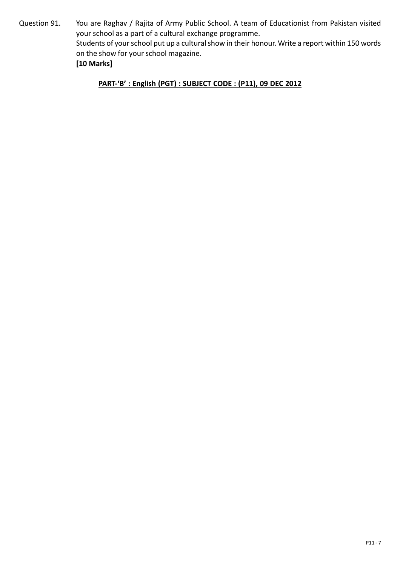Question 91. You are Raghav / Rajita of Army Public School. A team of Educationist from Pakistan visited your school as a part of a cultural exchange programme. Students of your school put up a cultural show in their honour. Write a report within 150 words on the show for your school magazine. **[10 Marks]**

**PART-'B' : English (PGT) : SUBJECT CODE : (P11), 09 DEC 2012**